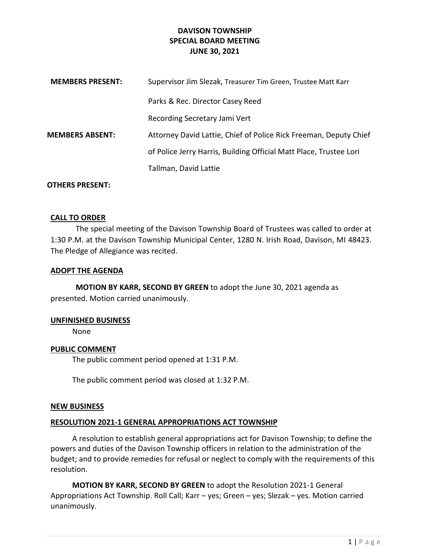## DAVISON TOWNSHIP SPECIAL BOARD MEETING JUNE 30, 2021

| <b>MEMBERS PRESENT:</b> | Supervisor Jim Slezak, Treasurer Tim Green, Trustee Matt Karr      |
|-------------------------|--------------------------------------------------------------------|
|                         | Parks & Rec. Director Casey Reed                                   |
|                         | Recording Secretary Jami Vert                                      |
| <b>MEMBERS ABSENT:</b>  | Attorney David Lattie, Chief of Police Rick Freeman, Deputy Chief  |
|                         | of Police Jerry Harris, Building Official Matt Place, Trustee Lori |
|                         | Tallman, David Lattie                                              |
|                         |                                                                    |

## OTHERS PRESENT:

### CALL TO ORDER

The special meeting of the Davison Township Board of Trustees was called to order at 1:30 P.M. at the Davison Township Municipal Center, 1280 N. Irish Road, Davison, MI 48423. The Pledge of Allegiance was recited.

#### ADOPT THE AGENDA

MOTION BY KARR, SECOND BY GREEN to adopt the June 30, 2021 agenda as presented. Motion carried unanimously.

#### UNFINISHED BUSINESS

None

### PUBLIC COMMENT

The public comment period opened at 1:31 P.M.

The public comment period was closed at 1:32 P.M.

#### NEW BUSINESS

### RESOLUTION 2021-1 GENERAL APPROPRIATIONS ACT TOWNSHIP

A resolution to establish general appropriations act for Davison Township; to define the powers and duties of the Davison Township officers in relation to the administration of the budget; and to provide remedies for refusal or neglect to comply with the requirements of this resolution.

MOTION BY KARR, SECOND BY GREEN to adopt the Resolution 2021-1 General Appropriations Act Township. Roll Call; Karr – yes; Green – yes; Slezak – yes. Motion carried unanimously.